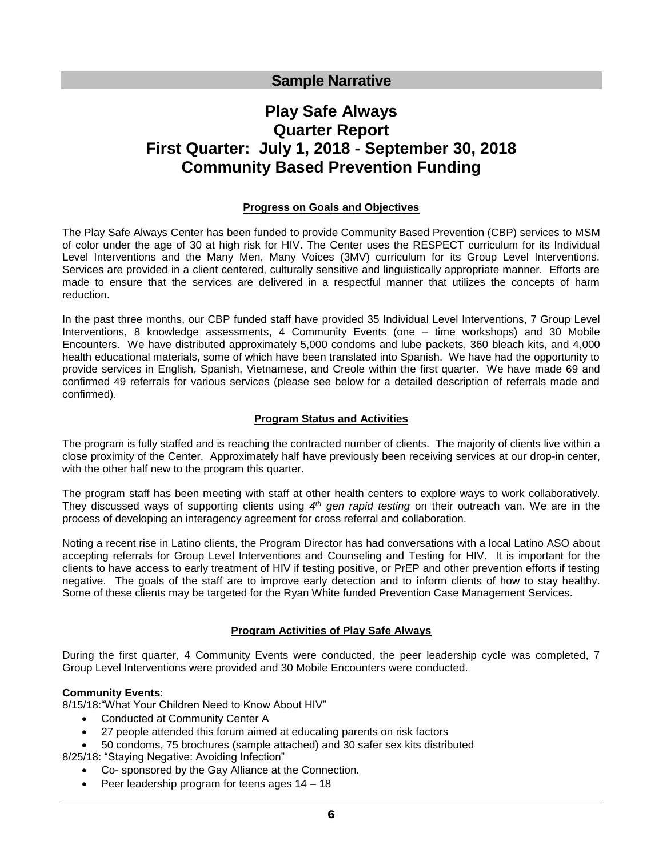# **Sample Narrative**

# **Play Safe Always Quarter Report First Quarter: July 1, 2018 - September 30, 2018 Community Based Prevention Funding**

#### **Progress on Goals and Objectives**

The Play Safe Always Center has been funded to provide Community Based Prevention (CBP) services to MSM of color under the age of 30 at high risk for HIV. The Center uses the RESPECT curriculum for its Individual Level Interventions and the Many Men, Many Voices (3MV) curriculum for its Group Level Interventions. Services are provided in a client centered, culturally sensitive and linguistically appropriate manner. Efforts are made to ensure that the services are delivered in a respectful manner that utilizes the concepts of harm reduction.

In the past three months, our CBP funded staff have provided 35 Individual Level Interventions, 7 Group Level Interventions, 8 knowledge assessments, 4 Community Events (one – time workshops) and 30 Mobile Encounters. We have distributed approximately 5,000 condoms and lube packets, 360 bleach kits, and 4,000 health educational materials, some of which have been translated into Spanish. We have had the opportunity to provide services in English, Spanish, Vietnamese, and Creole within the first quarter. We have made 69 and confirmed 49 referrals for various services (please see below for a detailed description of referrals made and confirmed).

#### **Program Status and Activities**

The program is fully staffed and is reaching the contracted number of clients. The majority of clients live within a close proximity of the Center. Approximately half have previously been receiving services at our drop-in center, with the other half new to the program this quarter.

The program staff has been meeting with staff at other health centers to explore ways to work collaboratively. They discussed ways of supporting clients using 4<sup>th</sup> gen rapid testing on their outreach van. We are in the process of developing an interagency agreement for cross referral and collaboration.

Noting a recent rise in Latino clients, the Program Director has had conversations with a local Latino ASO about accepting referrals for Group Level Interventions and Counseling and Testing for HIV. It is important for the clients to have access to early treatment of HIV if testing positive, or PrEP and other prevention efforts if testing negative. The goals of the staff are to improve early detection and to inform clients of how to stay healthy. Some of these clients may be targeted for the Ryan White funded Prevention Case Management Services.

# **Program Activities of Play Safe Always**

During the first quarter, 4 Community Events were conducted, the peer leadership cycle was completed, 7 Group Level Interventions were provided and 30 Mobile Encounters were conducted.

#### **Community Events**:

8/15/18:"What Your Children Need to Know About HIV"

- Conducted at Community Center A
- 27 people attended this forum aimed at educating parents on risk factors
- 50 condoms, 75 brochures (sample attached) and 30 safer sex kits distributed 8/25/18: "Staying Negative: Avoiding Infection"
	- Co- sponsored by the Gay Alliance at the Connection.
	- Peer leadership program for teens ages 14 18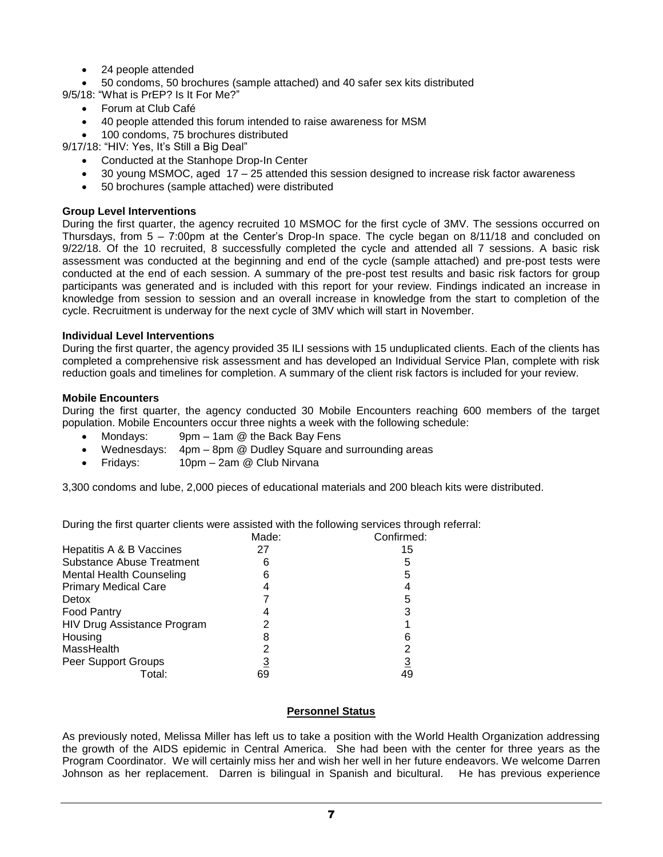- 24 people attended
- 50 condoms, 50 brochures (sample attached) and 40 safer sex kits distributed

9/5/18: "What is PrEP? Is It For Me?"

- Forum at Club Café
- 40 people attended this forum intended to raise awareness for MSM
- 100 condoms, 75 brochures distributed

9/17/18: "HIV: Yes, It's Still a Big Deal"

- Conducted at the Stanhope Drop-In Center
- 30 young MSMOC, aged 17 25 attended this session designed to increase risk factor awareness
- 50 brochures (sample attached) were distributed

# **Group Level Interventions**

During the first quarter, the agency recruited 10 MSMOC for the first cycle of 3MV. The sessions occurred on Thursdays, from 5 – 7:00pm at the Center's Drop-In space. The cycle began on 8/11/18 and concluded on 9/22/18. Of the 10 recruited, 8 successfully completed the cycle and attended all 7 sessions. A basic risk assessment was conducted at the beginning and end of the cycle (sample attached) and pre-post tests were conducted at the end of each session. A summary of the pre-post test results and basic risk factors for group participants was generated and is included with this report for your review. Findings indicated an increase in knowledge from session to session and an overall increase in knowledge from the start to completion of the cycle. Recruitment is underway for the next cycle of 3MV which will start in November.

# **Individual Level Interventions**

During the first quarter, the agency provided 35 ILI sessions with 15 unduplicated clients. Each of the clients has completed a comprehensive risk assessment and has developed an Individual Service Plan, complete with risk reduction goals and timelines for completion. A summary of the client risk factors is included for your review.

#### **Mobile Encounters**

During the first quarter, the agency conducted 30 Mobile Encounters reaching 600 members of the target population. Mobile Encounters occur three nights a week with the following schedule:

- Mondays: 9pm 1am @ the Back Bay Fens
- Wednesdays: 4pm 8pm @ Dudley Square and surrounding areas
- Fridays: 10pm 2am @ Club Nirvana

3,300 condoms and lube, 2,000 pieces of educational materials and 200 bleach kits were distributed.

During the first quarter clients were assisted with the following services through referral:

|                                  | Made: | Confirmed: |  |
|----------------------------------|-------|------------|--|
| Hepatitis A & B Vaccines         | 27    | 15         |  |
| <b>Substance Abuse Treatment</b> |       | 5          |  |
| <b>Mental Health Counseling</b>  | 6     | 5          |  |
| <b>Primary Medical Care</b>      |       | 4          |  |
| Detox                            |       | 5          |  |
| <b>Food Pantry</b>               |       | 3          |  |
| HIV Drug Assistance Program      |       |            |  |
| Housing                          | 8     | 6          |  |
| MassHealth                       |       | 2          |  |
| Peer Support Groups              |       | <u>3</u>   |  |
| Total:                           | 69    | 49         |  |

# **Personnel Status**

As previously noted, Melissa Miller has left us to take a position with the World Health Organization addressing the growth of the AIDS epidemic in Central America. She had been with the center for three years as the Program Coordinator. We will certainly miss her and wish her well in her future endeavors. We welcome Darren Johnson as her replacement. Darren is bilingual in Spanish and bicultural. He has previous experience